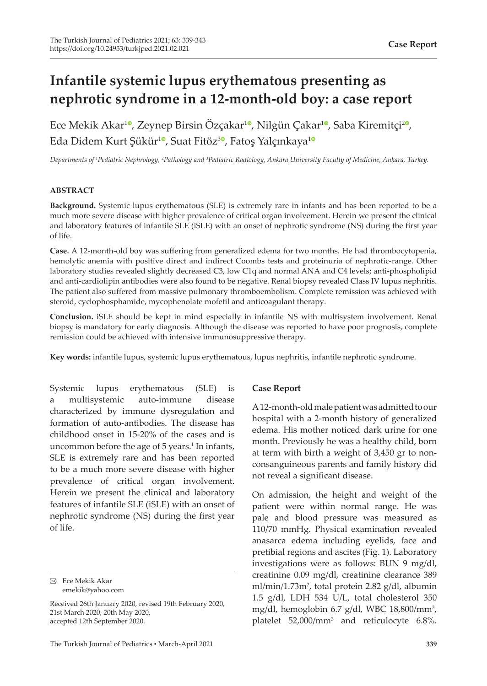# **Infantile systemic lupus erythematous presenting as nephrotic syndrome in a 12-month-old boy: a case report**

Ece Mekik Akar<sup>10</sup>[,](https://orcid.org/0000-0001-8868-1362) Zeynep Birsin Özçakar<sup>10</sup>, Nilgün Çakar<sup>10</sup>, Saba Kiremitçi<sup>20</sup>, Eda Didem Kurt Şükür<sup>[1](https://orcid.org/0000-0002-6467-7470)0</sup>, Suat Fitöz<sup>[3](https://orcid.org/0000-0002-0180-0013)0</sup>, Fatoş Yalçınkaya<sup>10</sup>

*Departments of <sup>1</sup> Pediatric Nephrology, <sup>2</sup> Pathology and 3 Pediatric Radiology, Ankara University Faculty of Medicine, Ankara, Turkey.*

# **ABSTRACT**

**Background.** Systemic lupus erythematous (SLE) is extremely rare in infants and has been reported to be a much more severe disease with higher prevalence of critical organ involvement. Herein we present the clinical and laboratory features of infantile SLE (iSLE) with an onset of nephrotic syndrome (NS) during the first year of life.

**Case.** A 12-month-old boy was suffering from generalized edema for two months. He had thrombocytopenia, hemolytic anemia with positive direct and indirect Coombs tests and proteinuria of nephrotic-range. Other laboratory studies revealed slightly decreased C3, low C1q and normal ANA and C4 levels; anti-phospholipid and anti-cardiolipin antibodies were also found to be negative. Renal biopsy revealed Class IV lupus nephritis. The patient also suffered from massive pulmonary thromboembolism. Complete remission was achieved with steroid, cyclophosphamide, mycophenolate mofetil and anticoagulant therapy.

**Conclusion.** iSLE should be kept in mind especially in infantile NS with multisystem involvement. Renal biopsy is mandatory for early diagnosis. Although the disease was reported to have poor prognosis, complete remission could be achieved with intensive immunosuppressive therapy.

**Key words:** infantile lupus, systemic lupus erythematous, lupus nephritis, infantile nephrotic syndrome.

Systemic lupus erythematous (SLE) is a multisystemic auto-immune disease characterized by immune dysregulation and formation of auto-antibodies. The disease has childhood onset in 15-20% of the cases and is uncommon before the age of 5 years.<sup>1</sup> In infants, SLE is extremely rare and has been reported to be a much more severe disease with higher prevalence of critical organ involvement. Herein we present the clinical and laboratory features of infantile SLE (iSLE) with an onset of nephrotic syndrome (NS) during the first year of life.

### **Case Report**

A 12-month-old male patient was admitted to our hospital with a 2-month history of generalized edema. His mother noticed dark urine for one month. Previously he was a healthy child, born at term with birth a weight of 3,450 gr to nonconsanguineous parents and family history did not reveal a significant disease.

On admission, the height and weight of the patient were within normal range. He was pale and blood pressure was measured as 110/70 mmHg. Physical examination revealed anasarca edema including eyelids, face and pretibial regions and ascites (Fig. 1). Laboratory investigations were as follows: BUN 9 mg/dl, creatinine 0.09 mg/dl, creatinine clearance 389 ml/min/1.73m<sup>2</sup>, total protein 2.82 g/dl, albumin 1.5 g/dl, LDH 534 U/L, total cholesterol 350 mg/dl, hemoglobin 6.7 g/dl, WBC 18,800/mm<sup>3</sup>, platelet 52,000/mm<sup>3</sup> and reticulocyte 6.8%.

Ece Mekik Akar emekik@yahoo.com

Received 26th January 2020, revised 19th February 2020, 21st March 2020, 20th May 2020, accepted 12th September 2020.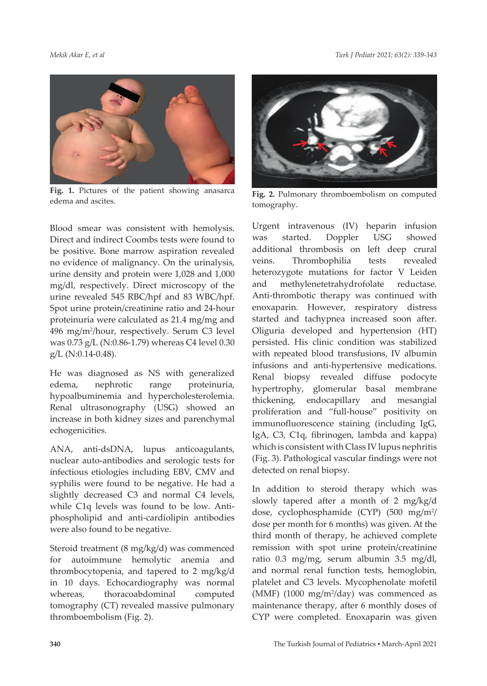*Mekik Akar E, et al Turk J Pediatr 2021; 63(2): 339-343*



**Fig. 1.** Pictures of the patient showing anasarca **Fig. 1.** Pictures of the patient showing anasarca **Fig. 2.** Pulmonary thromboembolism on computed edema and ascites.

Blood smear was consistent with hemolysis. Direct and indirect Coombs tests were found to be positive. Bone marrow aspiration revealed no evidence of malignancy. On the urinalysis, urine density and protein were 1,028 and 1,000 mg/dl, respectively. Direct microscopy of the urine revealed 545 RBC/hpf and 83 WBC/hpf. Spot urine protein/creatinine ratio and 24-hour proteinuria were calculated as 21.4 mg/mg and 496 mg/m2 /hour, respectively. Serum C3 level was 0.73 g/L (N:0.86-1.79) whereas C4 level 0.30 g/L (N:0.14-0.48).

He was diagnosed as NS with generalized edema, nephrotic range proteinuria, hypoalbuminemia and hypercholesterolemia. Renal ultrasonography (USG) showed an increase in both kidney sizes and parenchymal echogenicities.

ANA, anti-dsDNA, lupus anticoagulants, nuclear auto-antibodies and serologic tests for infectious etiologies including EBV, CMV and syphilis were found to be negative. He had a slightly decreased C3 and normal C4 levels, while C1q levels was found to be low. Antiphospholipid and anti-cardiolipin antibodies were also found to be negative.

Steroid treatment (8 mg/kg/d) was commenced for autoimmune hemolytic anemia and thrombocytopenia, and tapered to 2 mg/kg/d in 10 days. Echocardiography was normal whereas, thoracoabdominal computed tomography (CT) revealed massive pulmonary thromboembolism (Fig. 2).



tomography.

Urgent intravenous (IV) heparin infusion was started. Doppler USG showed additional thrombosis on left deep crural veins. Thrombophilia tests revealed heterozygote mutations for factor V Leiden and methylenetetrahydrofolate reductase. Anti-thrombotic therapy was continued with enoxaparin. However, respiratory distress started and tachypnea increased soon after. Oliguria developed and hypertension (HT) persisted. His clinic condition was stabilized with repeated blood transfusions, IV albumin infusions and anti-hypertensive medications. Renal biopsy revealed diffuse podocyte hypertrophy, glomerular basal membrane thickening, endocapillary and mesangial proliferation and "full-house" positivity on immunofluorescence staining (including IgG, IgA, C3, C1q, fibrinogen, lambda and kappa) which is consistent with Class IV lupus nephritis (Fig. 3). Pathological vascular findings were not detected on renal biopsy.

In addition to steroid therapy which was slowly tapered after a month of 2 mg/kg/d dose, cyclophosphamide (CYP) (500 mg/m<sup>2</sup>/ dose per month for 6 months) was given. At the third month of therapy, he achieved complete remission with spot urine protein/creatinine ratio 0.3 mg/mg, serum albumin 3.5 mg/dl, and normal renal function tests, hemoglobin, platelet and C3 levels. Mycophenolate mofetil (MMF) (1000 mg/m2 /day) was commenced as maintenance therapy, after 6 monthly doses of CYP were completed. Enoxaparin was given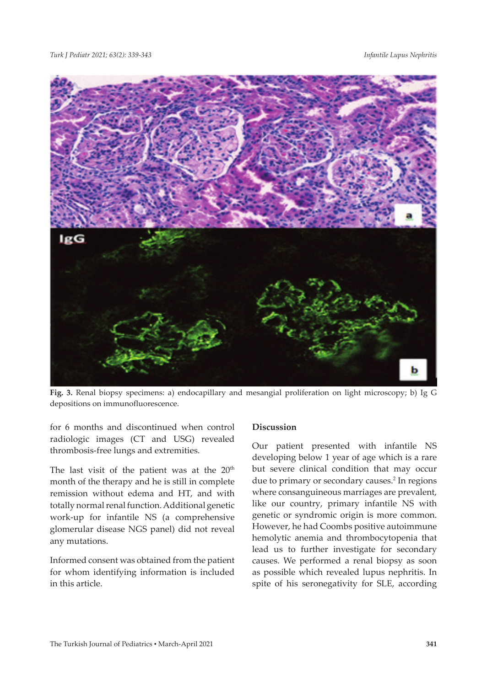

**Fig. 3.** Renal biopsy specimens: a) endocapillary and mesangial proliferation on light microscopy; b) Ig G depositions on immunofluorescence.

for 6 months and discontinued when control radiologic images (CT and USG) revealed thrombosis-free lungs and extremities.

The last visit of the patient was at the  $20<sup>th</sup>$ month of the therapy and he is still in complete remission without edema and HT, and with totally normal renal function. Additional genetic work-up for infantile NS (a comprehensive glomerular disease NGS panel) did not reveal any mutations.

Informed consent was obtained from the patient for whom identifying information is included in this article.

# **Discussion**

Our patient presented with infantile NS developing below 1 year of age which is a rare but severe clinical condition that may occur due to primary or secondary causes.<sup>2</sup> In regions where consanguineous marriages are prevalent, like our country, primary infantile NS with genetic or syndromic origin is more common. However, he had Coombs positive autoimmune hemolytic anemia and thrombocytopenia that lead us to further investigate for secondary causes. We performed a renal biopsy as soon as possible which revealed lupus nephritis. In spite of his seronegativity for SLE, according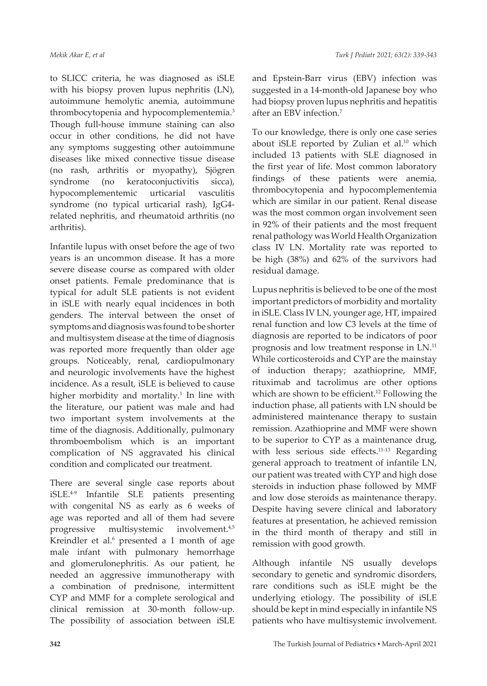to SLICC criteria, he was diagnosed as iSLE with his biopsy proven lupus nephritis (LN), autoimmune hemolytic anemia, autoimmune thrombocytopenia and hypocomplementemia.<sup>3</sup> Though full-house immune staining can also occur in other conditions, he did not have any symptoms suggesting other autoimmune diseases like mixed connective tissue disease (no rash, arthritis or myopathy), Sjögren syndrome (no keratoconjuctivitis sicca), hypocomplementemic urticarial vasculitis syndrome (no typical urticarial rash), IgG4 related nephritis, and rheumatoid arthritis (no arthritis).

Infantile lupus with onset before the age of two years is an uncommon disease. It has a more severe disease course as compared with older onset patients. Female predominance that is typical for adult SLE patients is not evident in iSLE with nearly equal incidences in both genders. The interval between the onset of symptoms and diagnosis was found to be shorter and multisystem disease at the time of diagnosis was reported more frequently than older age groups. Noticeably, renal, cardiopulmonary and neurologic involvements have the highest incidence. As a result, iSLE is believed to cause higher morbidity and mortality.<sup>1</sup> In line with the literature, our patient was male and had two important system involvements at the time of the diagnosis. Additionally, pulmonary thromboembolism which is an important complication of NS aggravated his clinical condition and complicated our treatment.

There are several single case reports about iSLE.4-9 Infantile SLE patients presenting with congenital NS as early as 6 weeks of age was reported and all of them had severe progressive multisystemic involvement.4,5 Kreindler et al. $6$  presented a 1 month of age male infant with pulmonary hemorrhage and glomerulonephritis. As our patient, he needed an aggressive immunotherapy with a combination of prednisone, intermittent CYP and MMF for a complete serological and clinical remission at 30-month follow-up. The possibility of association between iSLE

and Epstein-Barr virus (EBV) infection was suggested in a 14-month-old Japanese boy who had biopsy proven lupus nephritis and hepatitis after an EBV infection.7

To our knowledge, there is only one case series about iSLE reported by Zulian et al.<sup>10</sup> which included 13 patients with SLE diagnosed in the first year of life. Most common laboratory findings of these patients were anemia, thrombocytopenia and hypocomplementemia which are similar in our patient. Renal disease was the most common organ involvement seen in 92% of their patients and the most frequent renal pathology was World Health Organization class IV LN. Mortality rate was reported to be high (38%) and 62% of the survivors had residual damage.

Lupus nephritis is believed to be one of the most important predictors of morbidity and mortality in iSLE. Class IV LN, younger age, HT, impaired renal function and low C3 levels at the time of diagnosis are reported to be indicators of poor prognosis and low treatment response in LN.11 While corticosteroids and CYP are the mainstay of induction therapy; azathioprine, MMF, rituximab and tacrolimus are other options which are shown to be efficient.<sup>12</sup> Following the induction phase, all patients with LN should be administered maintenance therapy to sustain remission. Azathioprine and MMF were shown to be superior to CYP as a maintenance drug, with less serious side effects.<sup>11-13</sup> Regarding general approach to treatment of infantile LN, our patient was treated with CYP and high dose steroids in induction phase followed by MMF and low dose steroids as maintenance therapy. Despite having severe clinical and laboratory features at presentation, he achieved remission in the third month of therapy and still in remission with good growth.

Although infantile NS usually develops secondary to genetic and syndromic disorders, rare conditions such as iSLE might be the underlying etiology. The possibility of iSLE should be kept in mind especially in infantile NS patients who have multisystemic involvement.